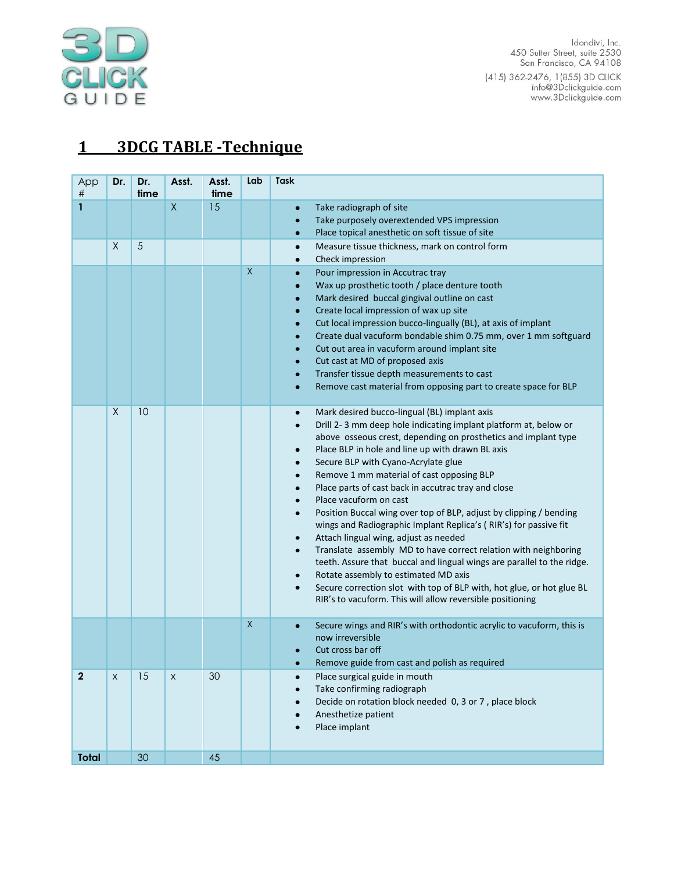

ldondivi, Inc.<br>450 Sutter Street, suite 2530<br>San Francisco, CA 94108 415) 362-2476, 1(855) 3D CLICK<br>info@3Dclickguide.com<br>www.3Dclickguide.com

# **1 3DCG TABLE -Technique**

| App<br>#     | Dr.            | Dr.<br>time | Asst.        | Asst.<br>time | Lab          | <b>Task</b>                                                                                                                                                                                                                                                                                                                                                                                                                                                                                                                                                                                                                                                                                                                                                                                                                                                                                                                           |
|--------------|----------------|-------------|--------------|---------------|--------------|---------------------------------------------------------------------------------------------------------------------------------------------------------------------------------------------------------------------------------------------------------------------------------------------------------------------------------------------------------------------------------------------------------------------------------------------------------------------------------------------------------------------------------------------------------------------------------------------------------------------------------------------------------------------------------------------------------------------------------------------------------------------------------------------------------------------------------------------------------------------------------------------------------------------------------------|
| 1            |                |             | $\mathsf{X}$ | 15            |              | Take radiograph of site<br>Take purposely overextended VPS impression<br>Place topical anesthetic on soft tissue of site                                                                                                                                                                                                                                                                                                                                                                                                                                                                                                                                                                                                                                                                                                                                                                                                              |
|              | $\sf X$        | 5           |              |               |              | Measure tissue thickness, mark on control form<br>$\bullet$<br>Check impression                                                                                                                                                                                                                                                                                                                                                                                                                                                                                                                                                                                                                                                                                                                                                                                                                                                       |
|              |                |             |              |               | $\mathsf{X}$ | Pour impression in Accutrac tray<br>$\bullet$<br>Wax up prosthetic tooth / place denture tooth<br>Mark desired buccal gingival outline on cast<br>Create local impression of wax up site<br>Cut local impression bucco-lingually (BL), at axis of implant<br>Create dual vacuform bondable shim 0.75 mm, over 1 mm softguard<br>Cut out area in vacuform around implant site<br>Cut cast at MD of proposed axis<br>Transfer tissue depth measurements to cast<br>Remove cast material from opposing part to create space for BLP                                                                                                                                                                                                                                                                                                                                                                                                      |
|              | X              | 10          |              |               |              | Mark desired bucco-lingual (BL) implant axis<br>Drill 2-3 mm deep hole indicating implant platform at, below or<br>above osseous crest, depending on prosthetics and implant type<br>Place BLP in hole and line up with drawn BL axis<br>Secure BLP with Cyano-Acrylate glue<br>Remove 1 mm material of cast opposing BLP<br>Place parts of cast back in accutrac tray and close<br>$\bullet$<br>Place vacuform on cast<br>Position Buccal wing over top of BLP, adjust by clipping / bending<br>wings and Radiographic Implant Replica's (RIR's) for passive fit<br>Attach lingual wing, adjust as needed<br>Translate assembly MD to have correct relation with neighboring<br>teeth. Assure that buccal and lingual wings are parallel to the ridge.<br>Rotate assembly to estimated MD axis<br>Secure correction slot with top of BLP with, hot glue, or hot glue BL<br>RIR's to vacuform. This will allow reversible positioning |
|              |                |             |              |               | $\mathsf X$  | Secure wings and RIR's with orthodontic acrylic to vacuform, this is<br>now irreversible<br>Cut cross bar off<br>Remove guide from cast and polish as required                                                                                                                                                                                                                                                                                                                                                                                                                                                                                                                                                                                                                                                                                                                                                                        |
| $\mathbf{2}$ | $\pmb{\times}$ | 15          | $\mathsf X$  | 30            |              | Place surgical guide in mouth<br>Take confirming radiograph<br>Decide on rotation block needed 0, 3 or 7, place block<br>Anesthetize patient<br>Place implant                                                                                                                                                                                                                                                                                                                                                                                                                                                                                                                                                                                                                                                                                                                                                                         |
| <b>Total</b> |                | 30          |              | 45            |              |                                                                                                                                                                                                                                                                                                                                                                                                                                                                                                                                                                                                                                                                                                                                                                                                                                                                                                                                       |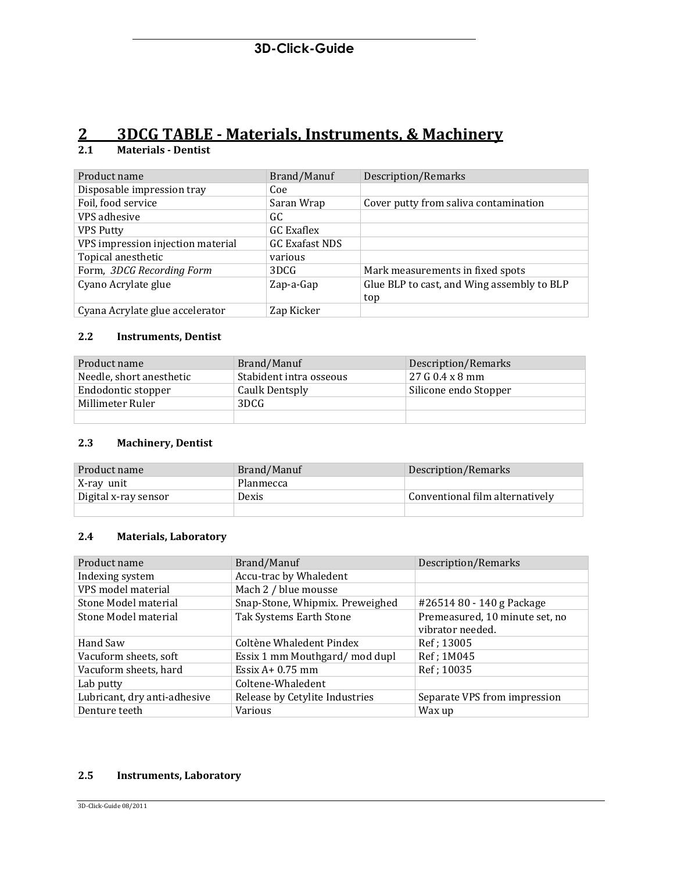# **2 3DCG TABLE - Materials, Instruments, & Machinery**

# **2.1 Materials - Dentist**

| Product name                      | Brand/Manuf           | Description/Remarks                        |
|-----------------------------------|-----------------------|--------------------------------------------|
| Disposable impression tray        | Coe                   |                                            |
| Foil, food service                | Saran Wrap            | Cover putty from saliva contamination      |
| VPS adhesive                      | GC                    |                                            |
| <b>VPS Putty</b>                  | GC Exaflex            |                                            |
| VPS impression injection material | <b>GC Exafast NDS</b> |                                            |
| Topical anesthetic                | various               |                                            |
| Form, 3DCG Recording Form         | 3DCG                  | Mark measurements in fixed spots           |
| Cyano Acrylate glue               | Zap-a-Gap             | Glue BLP to cast, and Wing assembly to BLP |
|                                   |                       | top                                        |
| Cyana Acrylate glue accelerator   | Zap Kicker            |                                            |

# **2.2 Instruments, Dentist**

| Product name             | Brand/Manuf             | Description/Remarks   |
|--------------------------|-------------------------|-----------------------|
| Needle, short anesthetic | Stabident intra osseous | $27G$ 0.4 x 8 mm      |
| Endodontic stopper       | Caulk Dentsply          | Silicone endo Stopper |
| Millimeter Ruler         | 3DCG                    |                       |
|                          |                         |                       |

#### **2.3 Machinery, Dentist**

| Product name         | Brand/Manuf | Description/Remarks             |
|----------------------|-------------|---------------------------------|
| X-ray unit           | Planmecca   |                                 |
| Digital x-ray sensor | Dexis       | Conventional film alternatively |
|                      |             |                                 |

#### **2.4 Materials, Laboratory**

| Product name                 | Brand/Manuf                     | Description/Remarks                                |
|------------------------------|---------------------------------|----------------------------------------------------|
| Indexing system              | Accu-trac by Whaledent          |                                                    |
| VPS model material           | Mach 2 / blue mousse            |                                                    |
| Stone Model material         | Snap-Stone, Whipmix. Preweighed | #26514 80 - 140 g Package                          |
| Stone Model material         | Tak Systems Earth Stone         | Premeasured, 10 minute set, no<br>vibrator needed. |
| Hand Saw                     | Coltène Whaledent Pindex        | Ref; 13005                                         |
| Vacuform sheets, soft        | Essix 1 mm Mouthgard/mod dupl   | Ref; 1M045                                         |
| Vacuform sheets, hard        | Essix $A+0.75$ mm               | Ref; 10035                                         |
| Lab putty                    | Coltene-Whaledent               |                                                    |
| Lubricant, dry anti-adhesive | Release by Cetylite Industries  | Separate VPS from impression                       |
| Denture teeth                | Various                         | Wax up                                             |

### **2.5 Instruments, Laboratory**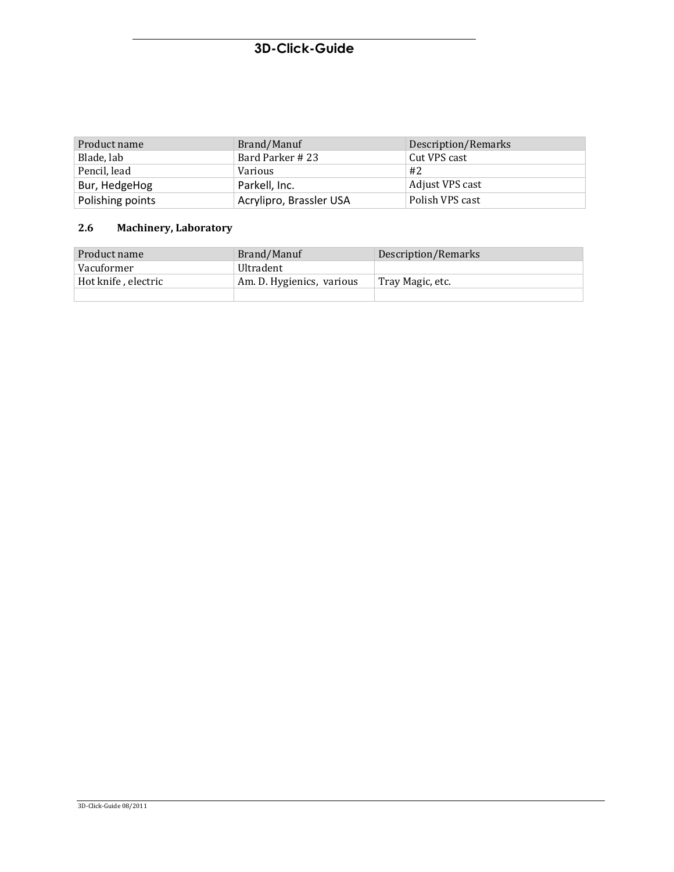# **3D-Click-Guide**

| Product name     | Brand/Manuf             | Description/Remarks |
|------------------|-------------------------|---------------------|
| Blade, lab       | Bard Parker #23         | Cut VPS cast        |
| Pencil, lead     | Various                 | #2                  |
| Bur, HedgeHog    | Parkell, Inc.           | Adjust VPS cast     |
| Polishing points | Acrylipro, Brassler USA | Polish VPS cast     |

# **2.6 Machinery, Laboratory**

| Product name        | Brand/Manuf               | Description/Remarks |
|---------------------|---------------------------|---------------------|
| Vacuformer          | <b>Ultradent</b>          |                     |
| Hot knife, electric | Am. D. Hygienics, various | Tray Magic, etc.    |
|                     |                           |                     |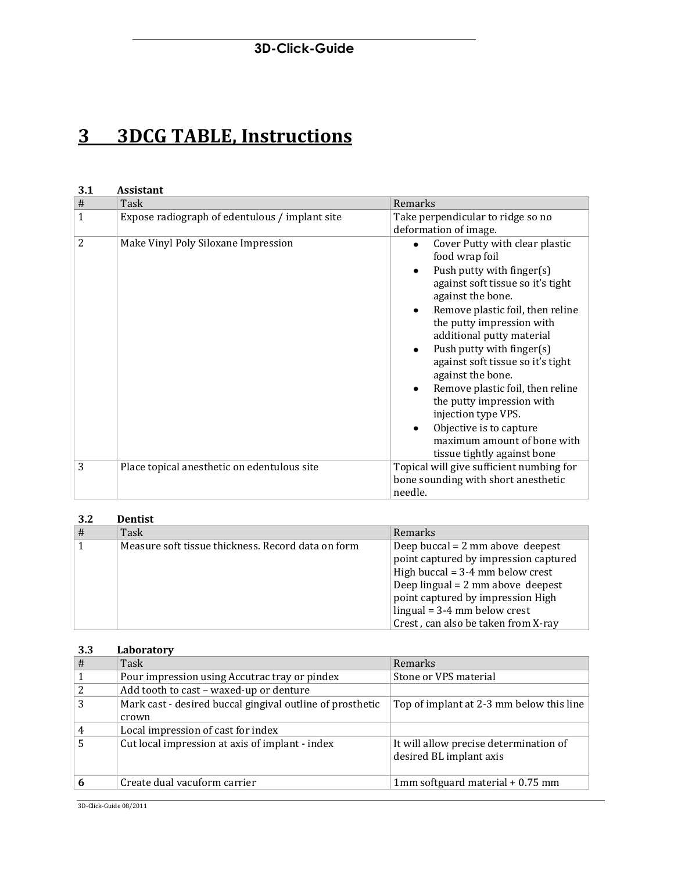# **3D-Click-Guide**

# **3 3DCG TABLE, Instructions**

| 3.1            | <b>Assistant</b>                               |                                                                                                                                                                                                                                                                                                                                                                                                                                                                                                                                                                                                   |
|----------------|------------------------------------------------|---------------------------------------------------------------------------------------------------------------------------------------------------------------------------------------------------------------------------------------------------------------------------------------------------------------------------------------------------------------------------------------------------------------------------------------------------------------------------------------------------------------------------------------------------------------------------------------------------|
| $\#$           | Task                                           | Remarks                                                                                                                                                                                                                                                                                                                                                                                                                                                                                                                                                                                           |
| $\mathbf{1}$   | Expose radiograph of edentulous / implant site | Take perpendicular to ridge so no<br>deformation of image.                                                                                                                                                                                                                                                                                                                                                                                                                                                                                                                                        |
| $\overline{2}$ | Make Vinyl Poly Siloxane Impression            | Cover Putty with clear plastic<br>$\bullet$<br>food wrap foil<br>Push putty with finger $(s)$<br>$\bullet$<br>against soft tissue so it's tight<br>against the bone.<br>Remove plastic foil, then reline<br>$\bullet$<br>the putty impression with<br>additional putty material<br>Push putty with finger $(s)$<br>$\bullet$<br>against soft tissue so it's tight<br>against the bone.<br>Remove plastic foil, then reline<br>$\bullet$<br>the putty impression with<br>injection type VPS.<br>Objective is to capture<br>$\bullet$<br>maximum amount of bone with<br>tissue tightly against bone |
| 3              | Place topical anesthetic on edentulous site    | Topical will give sufficient numbing for<br>bone sounding with short anesthetic<br>needle.                                                                                                                                                                                                                                                                                                                                                                                                                                                                                                        |

#### **3.2 Dentist**

| $\vert \#$     | Task                                               | Remarks                                     |
|----------------|----------------------------------------------------|---------------------------------------------|
| $\blacksquare$ | Measure soft tissue thickness. Record data on form | Deep buccal = $2 \text{ mm}$ above deepest  |
|                |                                                    | point captured by impression captured       |
|                |                                                    | High buccal = $3-4$ mm below crest          |
|                |                                                    | Deep lingual = $2 \text{ mm}$ above deepest |
|                |                                                    | point captured by impression High           |
|                |                                                    | $lingual = 3-4$ mm below crest              |
|                |                                                    | Crest, can also be taken from X-ray         |

## **3.3 Laboratory**

| # | Task                                                      | Remarks                                  |
|---|-----------------------------------------------------------|------------------------------------------|
|   | Pour impression using Accutrac tray or pindex             | Stone or VPS material                    |
|   | Add tooth to cast - waxed-up or denture                   |                                          |
| 3 | Mark cast - desired buccal gingival outline of prosthetic | Top of implant at 2-3 mm below this line |
|   | crown                                                     |                                          |
|   | Local impression of cast for index                        |                                          |
| 5 | Cut local impression at axis of implant - index           | It will allow precise determination of   |
|   |                                                           | desired BL implant axis                  |
|   |                                                           |                                          |
|   | Create dual vacuform carrier                              | 1mm softguard material + 0.75 mm         |